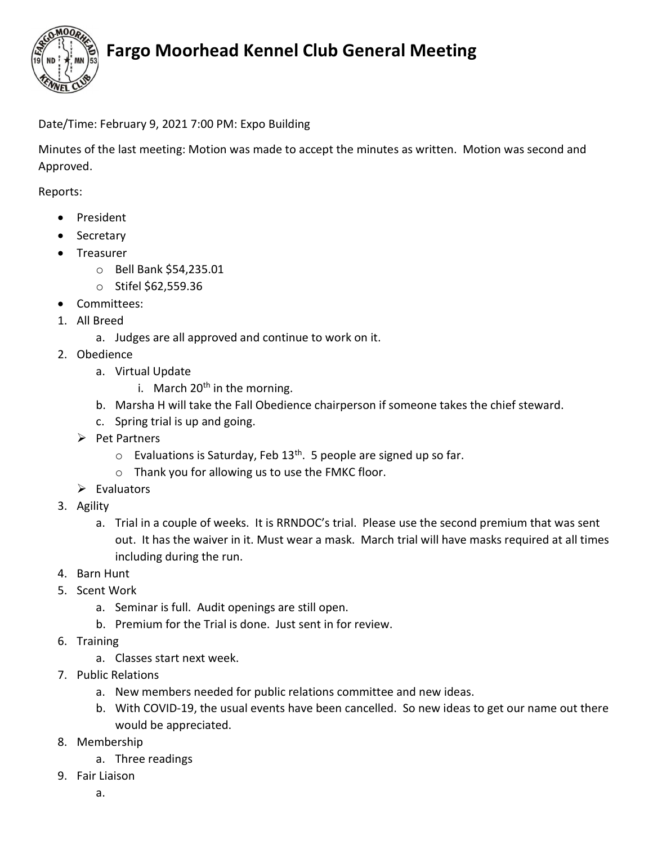

## Fargo Moorhead Kennel Club General Meeting

#### Date/Time: February 9, 2021 7:00 PM: Expo Building

Minutes of the last meeting: Motion was made to accept the minutes as written. Motion was second and Approved.

Reports:

- President
- Secretary
- Treasurer
	- o Bell Bank \$54,235.01
	- o Stifel \$62,559.36
- Committees:
- 1. All Breed
	- a. Judges are all approved and continue to work on it.
- 2. Obedience
	- a. Virtual Update
		- i. March  $20<sup>th</sup>$  in the morning.
	- b. Marsha H will take the Fall Obedience chairperson if someone takes the chief steward.
	- c. Spring trial is up and going.
	- $\triangleright$  Pet Partners
		- $\circ$  Evaluations is Saturday, Feb 13<sup>th</sup>. 5 people are signed up so far.
		- o Thank you for allowing us to use the FMKC floor.
	- $\triangleright$  Evaluators
- 3. Agility
	- a. Trial in a couple of weeks. It is RRNDOC's trial. Please use the second premium that was sent out. It has the waiver in it. Must wear a mask. March trial will have masks required at all times including during the run.
- 4. Barn Hunt
- 5. Scent Work
	- a. Seminar is full. Audit openings are still open.
	- b. Premium for the Trial is done. Just sent in for review.
- 6. Training
	- a. Classes start next week.
- 7. Public Relations
	- a. New members needed for public relations committee and new ideas.
	- b. With COVID-19, the usual events have been cancelled. So new ideas to get our name out there would be appreciated.
- 8. Membership
	- a. Three readings
- 9. Fair Liaison
	- a.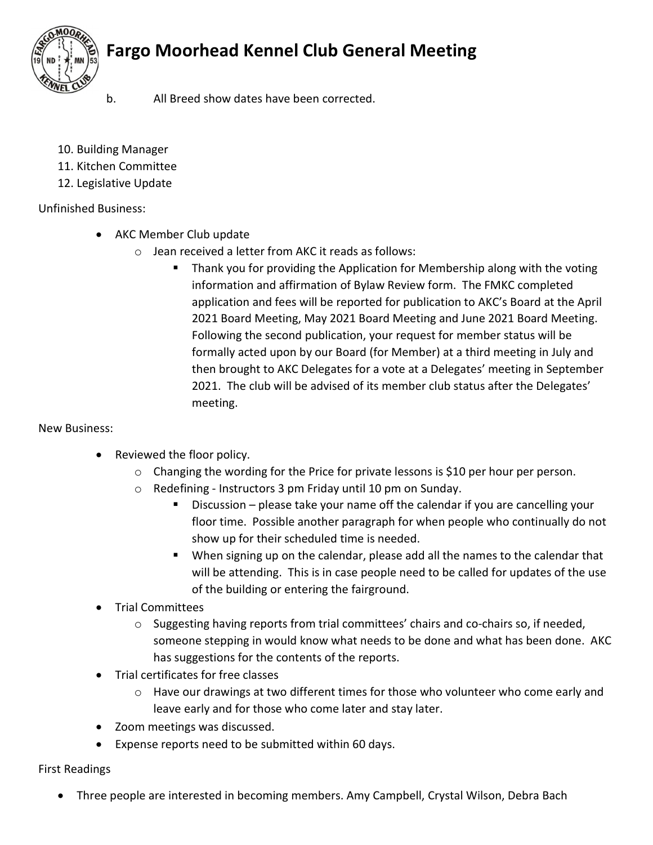



- b. All Breed show dates have been corrected.
- 10. Building Manager
- 11. Kitchen Committee
- 12. Legislative Update

#### Unfinished Business:

- AKC Member Club update
	- o Jean received a letter from AKC it reads as follows:
		- Thank you for providing the Application for Membership along with the voting information and affirmation of Bylaw Review form. The FMKC completed application and fees will be reported for publication to AKC's Board at the April 2021 Board Meeting, May 2021 Board Meeting and June 2021 Board Meeting. Following the second publication, your request for member status will be formally acted upon by our Board (for Member) at a third meeting in July and then brought to AKC Delegates for a vote at a Delegates' meeting in September 2021. The club will be advised of its member club status after the Delegates' meeting.

#### New Business:

- Reviewed the floor policy.
	- $\circ$  Changing the wording for the Price for private lessons is \$10 per hour per person.
	- o Redefining Instructors 3 pm Friday until 10 pm on Sunday.
		- **Discussion** please take your name off the calendar if you are cancelling your floor time. Possible another paragraph for when people who continually do not show up for their scheduled time is needed.
		- When signing up on the calendar, please add all the names to the calendar that will be attending. This is in case people need to be called for updates of the use of the building or entering the fairground.
- **•** Trial Committees
	- $\circ$  Suggesting having reports from trial committees' chairs and co-chairs so, if needed, someone stepping in would know what needs to be done and what has been done. AKC has suggestions for the contents of the reports.
- Trial certificates for free classes
	- o Have our drawings at two different times for those who volunteer who come early and leave early and for those who come later and stay later.
- Zoom meetings was discussed.
- Expense reports need to be submitted within 60 days.

#### First Readings

Three people are interested in becoming members. Amy Campbell, Crystal Wilson, Debra Bach